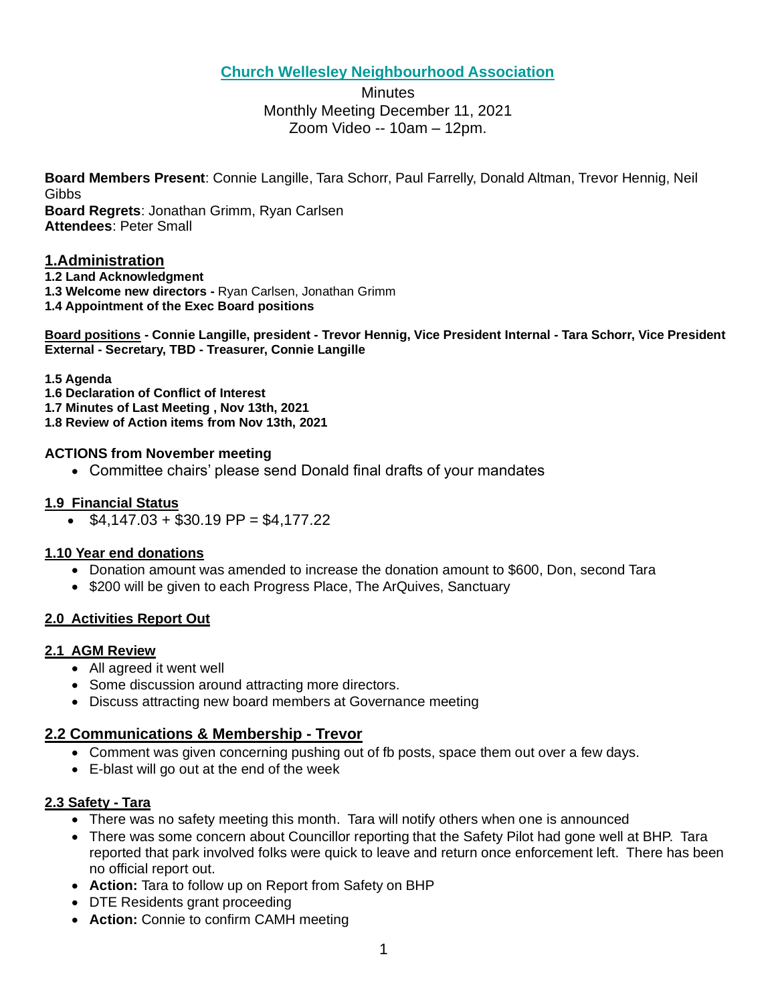# **Church Wellesley Neighbourhood Association**

# **Minutes** Monthly Meeting December 11, 2021 Zoom Video -- 10am – 12pm.

**Board Members Present**: Connie Langille, Tara Schorr, Paul Farrelly, Donald Altman, Trevor Hennig, Neil Gibbs **Board Regrets**: Jonathan Grimm, Ryan Carlsen

**Attendees**: Peter Small

## **1.Administration**

- **1.2 Land Acknowledgment**
- **1.3 Welcome new directors -** Ryan Carlsen, Jonathan Grimm
- **1.4 Appointment of the Exec Board positions**

**Board positions - Connie Langille, president - Trevor Hennig, Vice President Internal - Tara Schorr, Vice President External - Secretary, TBD - Treasurer, Connie Langille**

#### **1.5 Agenda**

- **1.6 Declaration of Conflict of Interest**
- **1.7 Minutes of Last Meeting , Nov 13th, 2021**
- **1.8 Review of Action items from Nov 13th, 2021**

#### **ACTIONS from November meeting**

• Committee chairs' please send Donald final drafts of your mandates

#### **1.9 Financial Status**

•  $$4,147.03 + $30.19 \text{ PP} = $4,177.22$ 

#### **1.10 Year end donations**

- Donation amount was amended to increase the donation amount to \$600, Don, second Tara
- \$200 will be given to each Progress Place, The ArQuives, Sanctuary

## **2.0 Activities Report Out**

#### **2.1 AGM Review**

- All agreed it went well
- Some discussion around attracting more directors.
- Discuss attracting new board members at Governance meeting

## **2.2 Communications & Membership - Trevor**

- Comment was given concerning pushing out of fb posts, space them out over a few days.
- E-blast will go out at the end of the week

## **2.3 Safety - Tara**

- There was no safety meeting this month. Tara will notify others when one is announced
- There was some concern about Councillor reporting that the Safety Pilot had gone well at BHP. Tara reported that park involved folks were quick to leave and return once enforcement left. There has been no official report out.
- **Action:** Tara to follow up on Report from Safety on BHP
- DTE Residents grant proceeding
- **Action:** Connie to confirm CAMH meeting